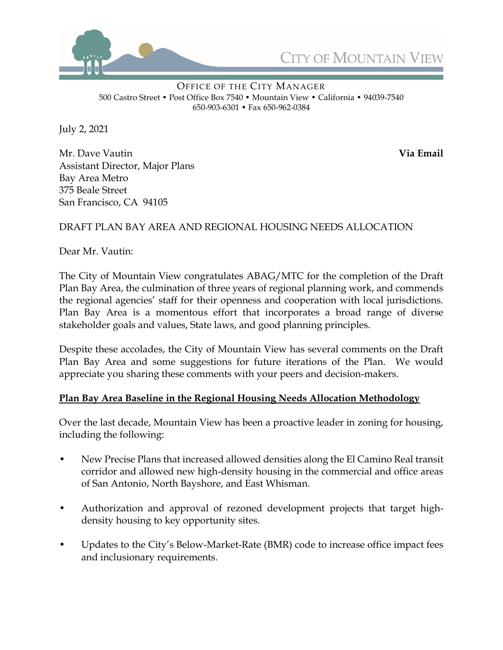



OFFICE OF THE CITY MANAGER 500 Castro Street • Post Office Box 7540 • Mountain View • California • 94039-7540 650-903-6301 • Fax 650-962-0384

July 2, 2021

Mr. Dave Vautin **Via Email** Assistant Director, Major Plans Bay Area Metro 375 Beale Street San Francisco, CA 94105

## DRAFT PLAN BAY AREA AND REGIONAL HOUSING NEEDS ALLOCATION

Dear Mr. Vautin:

The City of Mountain View congratulates ABAG/MTC for the completion of the Draft Plan Bay Area, the culmination of three years of regional planning work, and commends the regional agencies' staff for their openness and cooperation with local jurisdictions. Plan Bay Area is a momentous effort that incorporates a broad range of diverse stakeholder goals and values, State laws, and good planning principles.

Despite these accolades, the City of Mountain View has several comments on the Draft Plan Bay Area and some suggestions for future iterations of the Plan. We would appreciate you sharing these comments with your peers and decision-makers.

### **Plan Bay Area Baseline in the Regional Housing Needs Allocation Methodology**

Over the last decade, Mountain View has been a proactive leader in zoning for housing, including the following:

- New Precise Plans that increased allowed densities along the El Camino Real transit corridor and allowed new high-density housing in the commercial and office areas of San Antonio, North Bayshore, and East Whisman.
- Authorization and approval of rezoned development projects that target highdensity housing to key opportunity sites.
- Updates to the City's Below-Market-Rate (BMR) code to increase office impact fees and inclusionary requirements.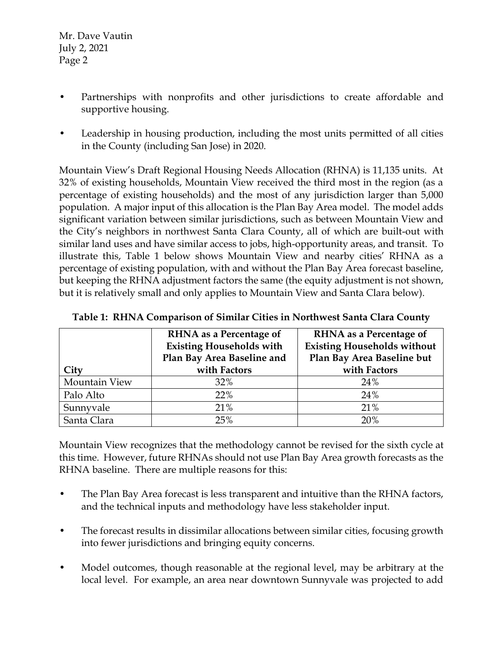- Partnerships with nonprofits and other jurisdictions to create affordable and supportive housing.
- Leadership in housing production, including the most units permitted of all cities in the County (including San Jose) in 2020.

Mountain View's Draft Regional Housing Needs Allocation (RHNA) is 11,135 units. At 32% of existing households, Mountain View received the third most in the region (as a percentage of existing households) and the most of any jurisdiction larger than 5,000 population. A major input of this allocation is the Plan Bay Area model. The model adds significant variation between similar jurisdictions, such as between Mountain View and the City's neighbors in northwest Santa Clara County, all of which are built-out with similar land uses and have similar access to jobs, high-opportunity areas, and transit. To illustrate this, Table 1 below shows Mountain View and nearby cities' RHNA as a percentage of existing population, with and without the Plan Bay Area forecast baseline, but keeping the RHNA adjustment factors the same (the equity adjustment is not shown, but it is relatively small and only applies to Mountain View and Santa Clara below).

|               | <b>RHNA</b> as a Percentage of<br><b>Existing Households with</b><br>Plan Bay Area Baseline and | <b>RHNA</b> as a Percentage of<br><b>Existing Households without</b><br>Plan Bay Area Baseline but |
|---------------|-------------------------------------------------------------------------------------------------|----------------------------------------------------------------------------------------------------|
| City          | with Factors                                                                                    | with Factors                                                                                       |
| Mountain View | 32%                                                                                             | 24%                                                                                                |
| Palo Alto     | 22%                                                                                             | 24%                                                                                                |
| Sunnyvale     | 21%                                                                                             | 21%                                                                                                |
| Santa Clara   | 25%                                                                                             | 20%                                                                                                |

**Table 1: RHNA Comparison of Similar Cities in Northwest Santa Clara County**

Mountain View recognizes that the methodology cannot be revised for the sixth cycle at this time. However, future RHNAs should not use Plan Bay Area growth forecasts as the RHNA baseline. There are multiple reasons for this:

- The Plan Bay Area forecast is less transparent and intuitive than the RHNA factors, and the technical inputs and methodology have less stakeholder input.
- The forecast results in dissimilar allocations between similar cities, focusing growth into fewer jurisdictions and bringing equity concerns.
- Model outcomes, though reasonable at the regional level, may be arbitrary at the local level. For example, an area near downtown Sunnyvale was projected to add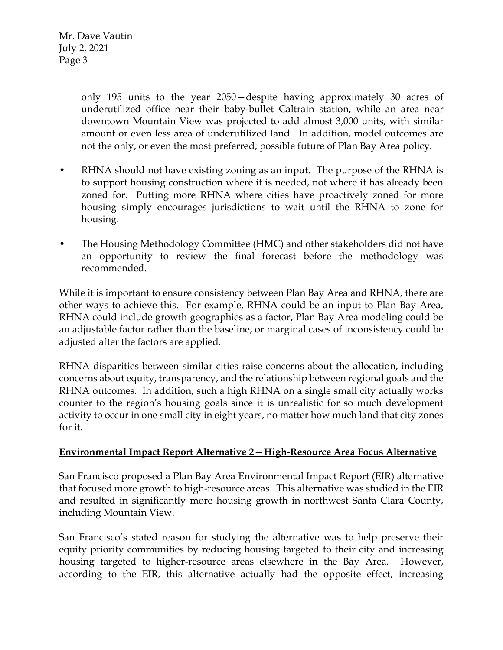> only 195 units to the year 2050—despite having approximately 30 acres of underutilized office near their baby-bullet Caltrain station, while an area near downtown Mountain View was projected to add almost 3,000 units, with similar amount or even less area of underutilized land. In addition, model outcomes are not the only, or even the most preferred, possible future of Plan Bay Area policy.

- RHNA should not have existing zoning as an input. The purpose of the RHNA is to support housing construction where it is needed, not where it has already been zoned for. Putting more RHNA where cities have proactively zoned for more housing simply encourages jurisdictions to wait until the RHNA to zone for housing.
- The Housing Methodology Committee (HMC) and other stakeholders did not have an opportunity to review the final forecast before the methodology was recommended.

While it is important to ensure consistency between Plan Bay Area and RHNA, there are other ways to achieve this. For example, RHNA could be an input to Plan Bay Area, RHNA could include growth geographies as a factor, Plan Bay Area modeling could be an adjustable factor rather than the baseline, or marginal cases of inconsistency could be adjusted after the factors are applied.

RHNA disparities between similar cities raise concerns about the allocation, including concerns about equity, transparency, and the relationship between regional goals and the RHNA outcomes. In addition, such a high RHNA on a single small city actually works counter to the region's housing goals since it is unrealistic for so much development activity to occur in one small city in eight years, no matter how much land that city zones for it.

# **Environmental Impact Report Alternative 2—High-Resource Area Focus Alternative**

San Francisco proposed a Plan Bay Area Environmental Impact Report (EIR) alternative that focused more growth to high-resource areas. This alternative was studied in the EIR and resulted in significantly more housing growth in northwest Santa Clara County, including Mountain View.

San Francisco's stated reason for studying the alternative was to help preserve their equity priority communities by reducing housing targeted to their city and increasing housing targeted to higher-resource areas elsewhere in the Bay Area. However, according to the EIR, this alternative actually had the opposite effect, increasing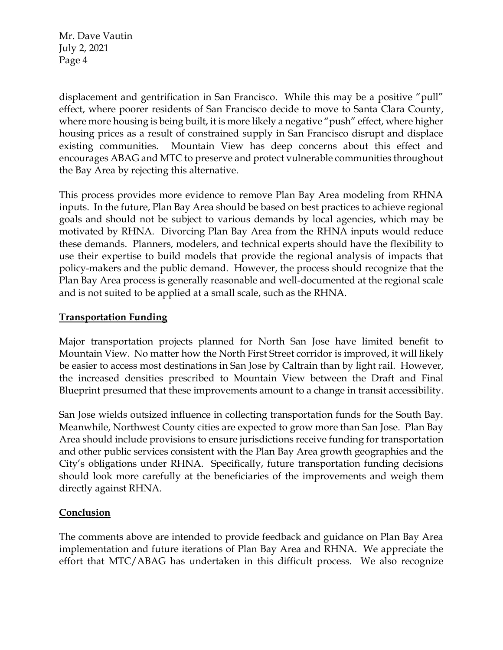displacement and gentrification in San Francisco. While this may be a positive "pull" effect, where poorer residents of San Francisco decide to move to Santa Clara County, where more housing is being built, it is more likely a negative "push" effect, where higher housing prices as a result of constrained supply in San Francisco disrupt and displace existing communities. Mountain View has deep concerns about this effect and encourages ABAG and MTC to preserve and protect vulnerable communities throughout the Bay Area by rejecting this alternative.

This process provides more evidence to remove Plan Bay Area modeling from RHNA inputs. In the future, Plan Bay Area should be based on best practices to achieve regional goals and should not be subject to various demands by local agencies, which may be motivated by RHNA. Divorcing Plan Bay Area from the RHNA inputs would reduce these demands. Planners, modelers, and technical experts should have the flexibility to use their expertise to build models that provide the regional analysis of impacts that policy-makers and the public demand. However, the process should recognize that the Plan Bay Area process is generally reasonable and well-documented at the regional scale and is not suited to be applied at a small scale, such as the RHNA.

## **Transportation Funding**

Major transportation projects planned for North San Jose have limited benefit to Mountain View. No matter how the North First Street corridor is improved, it will likely be easier to access most destinations in San Jose by Caltrain than by light rail. However, the increased densities prescribed to Mountain View between the Draft and Final Blueprint presumed that these improvements amount to a change in transit accessibility.

San Jose wields outsized influence in collecting transportation funds for the South Bay. Meanwhile, Northwest County cities are expected to grow more than San Jose. Plan Bay Area should include provisions to ensure jurisdictions receive funding for transportation and other public services consistent with the Plan Bay Area growth geographies and the City's obligations under RHNA. Specifically, future transportation funding decisions should look more carefully at the beneficiaries of the improvements and weigh them directly against RHNA.

# **Conclusion**

The comments above are intended to provide feedback and guidance on Plan Bay Area implementation and future iterations of Plan Bay Area and RHNA. We appreciate the effort that MTC/ABAG has undertaken in this difficult process. We also recognize